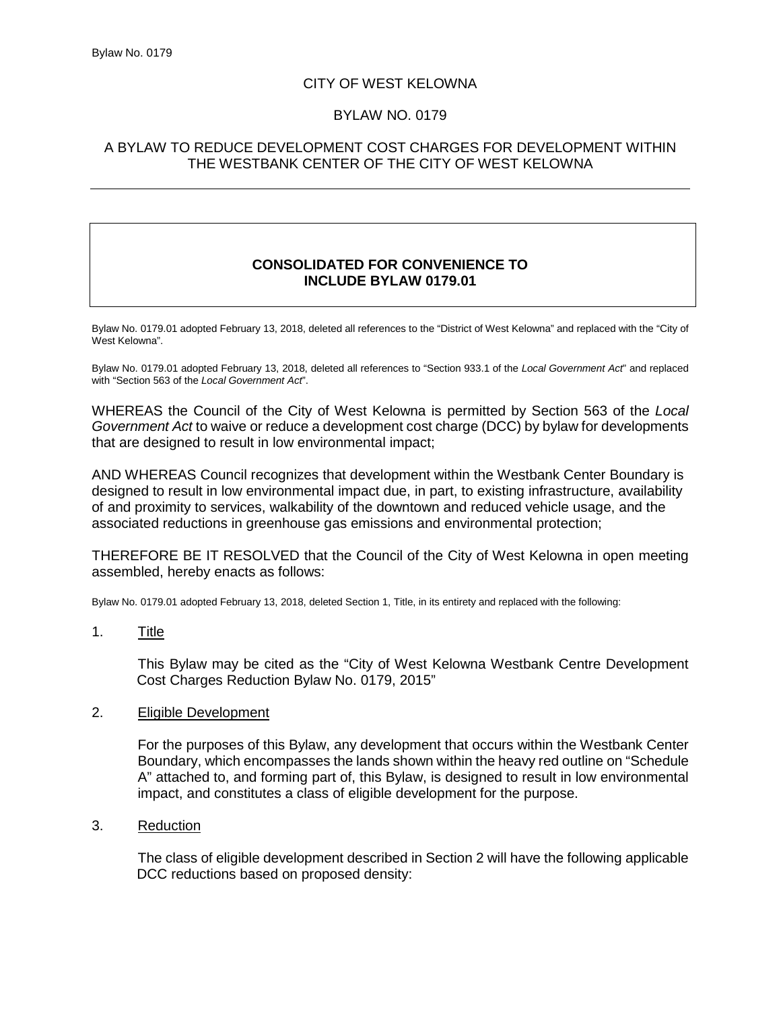## CITY OF WEST KELOWNA

## BYLAW NO. 0179

# A BYLAW TO REDUCE DEVELOPMENT COST CHARGES FOR DEVELOPMENT WITHIN THE WESTBANK CENTER OF THE CITY OF WEST KELOWNA

## **CONSOLIDATED FOR CONVENIENCE TO INCLUDE BYLAW 0179.01**

Bylaw No. 0179.01 adopted February 13, 2018, deleted all references to the "District of West Kelowna" and replaced with the "City of West Kelowna".

Bylaw No. 0179.01 adopted February 13, 2018, deleted all references to "Section 933.1 of the *Local Government Act*" and replaced with "Section 563 of the *Local Government Act*".

WHEREAS the Council of the City of West Kelowna is permitted by Section 563 of the *Local Government Act* to waive or reduce a development cost charge (DCC) by bylaw for developments that are designed to result in low environmental impact;

AND WHEREAS Council recognizes that development within the Westbank Center Boundary is designed to result in low environmental impact due, in part, to existing infrastructure, availability of and proximity to services, walkability of the downtown and reduced vehicle usage, and the associated reductions in greenhouse gas emissions and environmental protection;

THEREFORE BE IT RESOLVED that the Council of the City of West Kelowna in open meeting assembled, hereby enacts as follows:

Bylaw No. 0179.01 adopted February 13, 2018, deleted Section 1, Title, in its entirety and replaced with the following:

1. Title

This Bylaw may be cited as the "City of West Kelowna Westbank Centre Development Cost Charges Reduction Bylaw No. 0179, 2015"

#### 2. Eligible Development

For the purposes of this Bylaw, any development that occurs within the Westbank Center Boundary, which encompasses the lands shown within the heavy red outline on "Schedule A" attached to, and forming part of, this Bylaw, is designed to result in low environmental impact, and constitutes a class of eligible development for the purpose.

3. Reduction

The class of eligible development described in Section 2 will have the following applicable DCC reductions based on proposed density: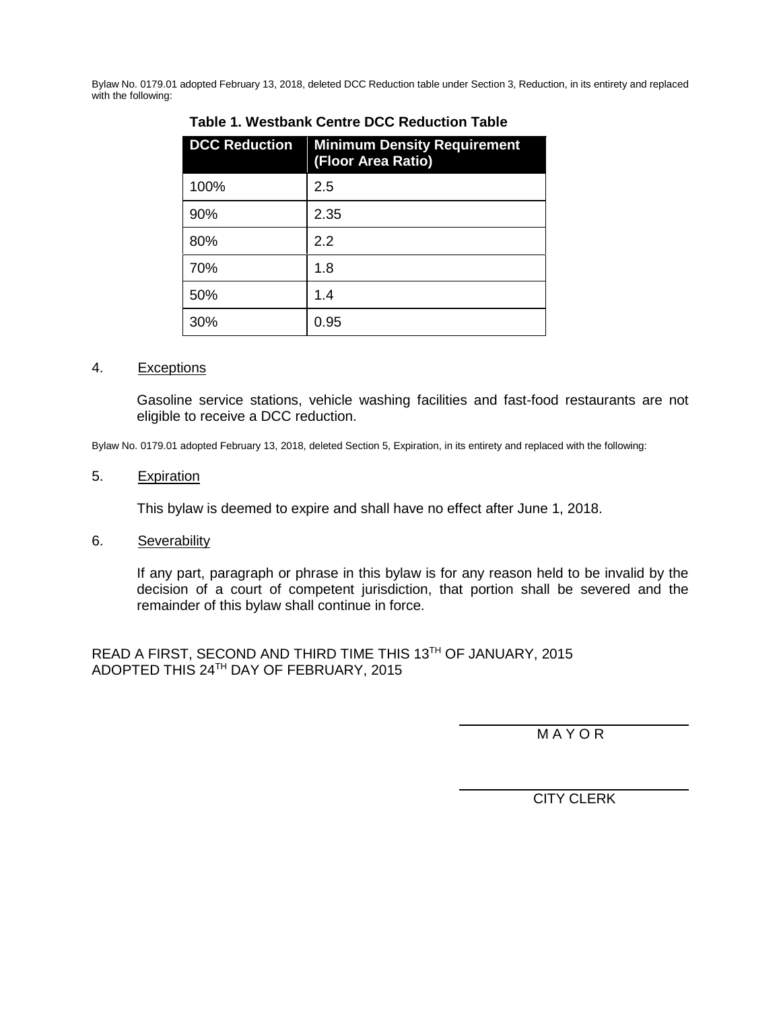Bylaw No. 0179.01 adopted February 13, 2018, deleted DCC Reduction table under Section 3, Reduction, in its entirety and replaced with the following:

| <b>DCC Reduction</b> | <b>Minimum Density Requirement</b><br>(Floor Area Ratio) |
|----------------------|----------------------------------------------------------|
| 100%                 | 2.5                                                      |
| 90%                  | 2.35                                                     |
| 80%                  | 2.2                                                      |
| 70%                  | 1.8                                                      |
| 50%                  | 1.4                                                      |
| 30%                  | 0.95                                                     |

## **Table 1. Westbank Centre DCC Reduction Table**

#### 4. Exceptions

Gasoline service stations, vehicle washing facilities and fast-food restaurants are not eligible to receive a DCC reduction.

Bylaw No. 0179.01 adopted February 13, 2018, deleted Section 5, Expiration, in its entirety and replaced with the following:

#### 5. Expiration

This bylaw is deemed to expire and shall have no effect after June 1, 2018.

6. Severability

If any part, paragraph or phrase in this bylaw is for any reason held to be invalid by the decision of a court of competent jurisdiction, that portion shall be severed and the remainder of this bylaw shall continue in force.

READ A FIRST, SECOND AND THIRD TIME THIS 13TH OF JANUARY, 2015 ADOPTED THIS 24TH DAY OF FEBRUARY, 2015

**MAYOR** 

CITY CLERK